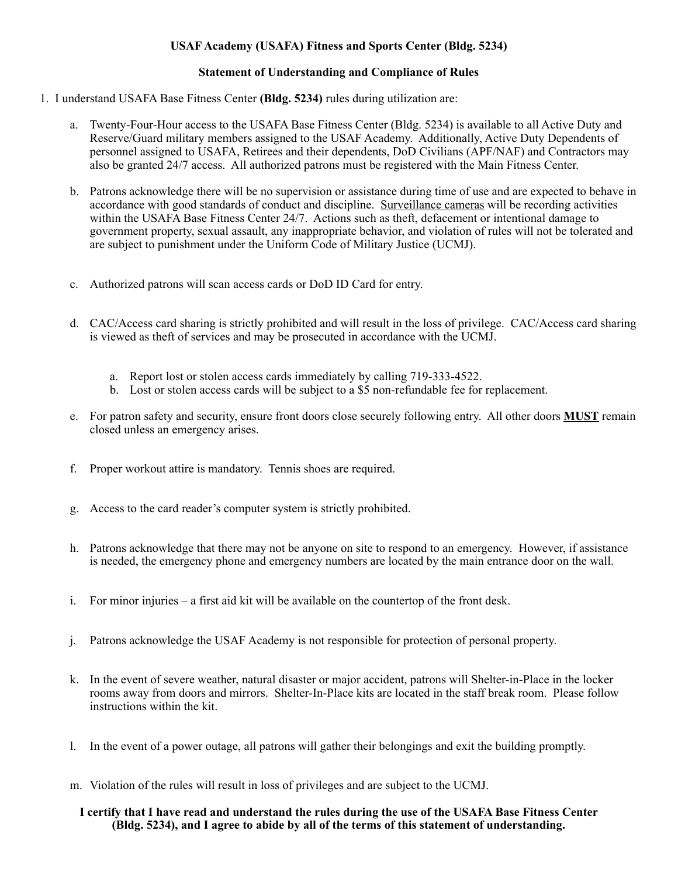## **USAF Academy (USAFA) Fitness and Sports Center (Bldg. 5234)**

### **Statement of Understanding and Compliance of Rules**

- 1. I understand USAFA Base Fitness Center **(Bldg. 5234)** rules during utilization are:
	- a. Twenty-Four-Hour access to the USAFA Base Fitness Center (Bldg. 5234) is available to all Active Duty and Reserve/Guard military members assigned to the USAF Academy. Additionally, Active Duty Dependents of personnel assigned to USAFA, Retirees and their dependents, DoD Civilians (APF/NAF) and Contractors may also be granted 24/7 access. All authorized patrons must be registered with the Main Fitness Center.
	- b. Patrons acknowledge there will be no supervision or assistance during time of use and are expected to behave in accordance with good standards of conduct and discipline. Surveillance cameras will be recording activities within the USAFA Base Fitness Center 24/7. Actions such as theft, defacement or intentional damage to government property, sexual assault, any inappropriate behavior, and violation of rules will not be tolerated and are subject to punishment under the Uniform Code of Military Justice (UCMJ).
	- c. Authorized patrons will scan access cards or DoD ID Card for entry.
	- d. CAC/Access card sharing is strictly prohibited and will result in the loss of privilege. CAC/Access card sharing is viewed as theft of services and may be prosecuted in accordance with the UCMJ.
		- a. Report lost or stolen access cards immediately by calling 719-333-4522.
		- b. Lost or stolen access cards will be subject to a \$5 non-refundable fee for replacement.
	- e. For patron safety and security, ensure front doors close securely following entry. All other doors **MUST** remain closed unless an emergency arises.
	- f. Proper workout attire is mandatory. Tennis shoes are required.
	- g. Access to the card reader's computer system is strictly prohibited.
	- h. Patrons acknowledge that there may not be anyone on site to respond to an emergency. However, if assistance is needed, the emergency phone and emergency numbers are located by the main entrance door on the wall.
	- i. For minor injuries a first aid kit will be available on the countertop of the front desk.
	- j. Patrons acknowledge the USAF Academy is not responsible for protection of personal property.
	- k. In the event of severe weather, natural disaster or major accident, patrons will Shelter-in-Place in the locker rooms away from doors and mirrors. Shelter-In-Place kits are located in the staff break room. Please follow instructions within the kit.
	- l. In the event of a power outage, all patrons will gather their belongings and exit the building promptly.
	- m. Violation of the rules will result in loss of privileges and are subject to the UCMJ.

### **I certify that I have read and understand the rules during the use of the USAFA Base Fitness Center (Bldg. 5234), and I agree to abide by all of the terms of this statement of understanding.**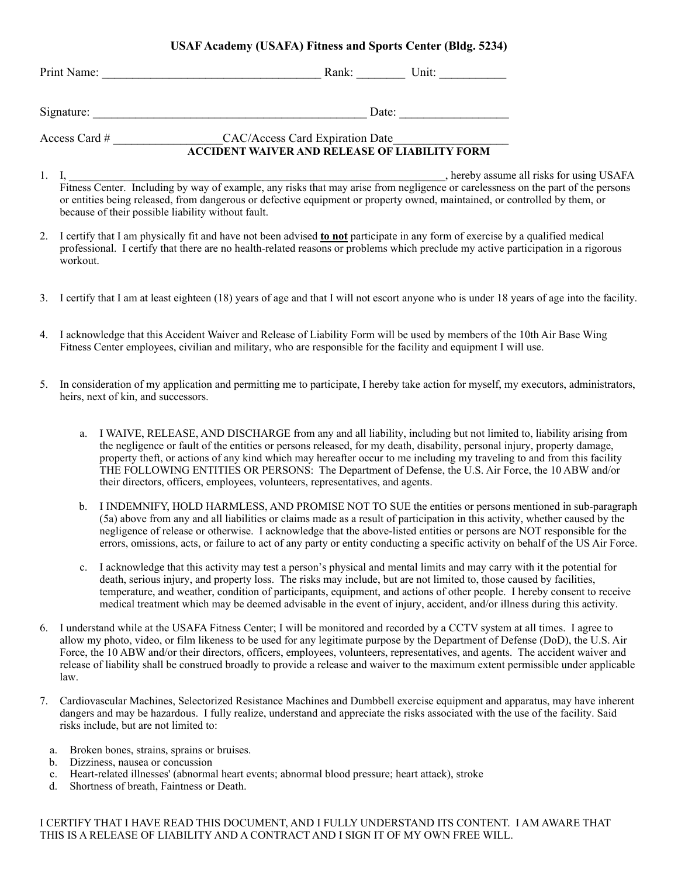#### **USAF Academy (USAFA) Fitness and Sports Center (Bldg. 5234)**

| Print Name:                                                                                                                                                                                                                                                                                                                                                       | Unit:<br>Rank:                                                                                                                                                                                                                                                                                                                                                                                                                                                                                            |  |
|-------------------------------------------------------------------------------------------------------------------------------------------------------------------------------------------------------------------------------------------------------------------------------------------------------------------------------------------------------------------|-----------------------------------------------------------------------------------------------------------------------------------------------------------------------------------------------------------------------------------------------------------------------------------------------------------------------------------------------------------------------------------------------------------------------------------------------------------------------------------------------------------|--|
|                                                                                                                                                                                                                                                                                                                                                                   | Signature:<br>Date: $\qquad \qquad \qquad$                                                                                                                                                                                                                                                                                                                                                                                                                                                                |  |
| Access Card $#$                                                                                                                                                                                                                                                                                                                                                   | CAC/Access Card Expiration Date<br><b>ACCIDENT WAIVER AND RELEASE OF LIABILITY FORM</b>                                                                                                                                                                                                                                                                                                                                                                                                                   |  |
| , hereby assume all risks for using USAFA<br>Fitness Center. Including by way of example, any risks that may arise from negligence or carelessness on the part of the persons<br>or entities being released, from dangerous or defective equipment or property owned, maintained, or controlled by them, or<br>because of their possible liability without fault. |                                                                                                                                                                                                                                                                                                                                                                                                                                                                                                           |  |
|                                                                                                                                                                                                                                                                                                                                                                   | $\mathcal{F} = \mathcal{F} \circ \mathcal{F} \circ \mathcal{F} = \mathcal{F} \circ \mathcal{F} \circ \mathcal{F} = \mathcal{F} \circ \mathcal{F} \circ \mathcal{F} \circ \mathcal{F} \circ \mathcal{F} = \mathcal{F} \circ \mathcal{F} \circ \mathcal{F} \circ \mathcal{F} \circ \mathcal{F} \circ \mathcal{F} \circ \mathcal{F} \circ \mathcal{F} \circ \mathcal{F} \circ \mathcal{F} \circ \mathcal{F} \circ \mathcal{F} \circ \mathcal{F} \circ \mathcal{F} \circ \mathcal{F} \circ \mathcal{F} \circ$ |  |

- 2. I certify that I am physically fit and have not been advised **to not** participate in any form of exercise by a qualified medical professional. I certify that there are no health-related reasons or problems which preclude my active participation in a rigorous workout.
- 3. I certify that I am at least eighteen (18) years of age and that I will not escort anyone who is under 18 years of age into the facility.
- 4. I acknowledge that this Accident Waiver and Release of Liability Form will be used by members of the 10th Air Base Wing Fitness Center employees, civilian and military, who are responsible for the facility and equipment I will use.
- 5. In consideration of my application and permitting me to participate, I hereby take action for myself, my executors, administrators, heirs, next of kin, and successors.
	- a. I WAIVE, RELEASE, AND DISCHARGE from any and all liability, including but not limited to, liability arising from the negligence or fault of the entities or persons released, for my death, disability, personal injury, property damage, property theft, or actions of any kind which may hereafter occur to me including my traveling to and from this facility THE FOLLOWING ENTITIES OR PERSONS: The Department of Defense, the U.S. Air Force, the 10 ABW and/or their directors, officers, employees, volunteers, representatives, and agents.
	- b. I INDEMNIFY, HOLD HARMLESS, AND PROMISE NOT TO SUE the entities or persons mentioned in sub-paragraph (5a) above from any and all liabilities or claims made as a result of participation in this activity, whether caused by the negligence of release or otherwise. I acknowledge that the above-listed entities or persons are NOT responsible for the errors, omissions, acts, or failure to act of any party or entity conducting a specific activity on behalf of the US Air Force.
	- c. I acknowledge that this activity may test a person's physical and mental limits and may carry with it the potential for death, serious injury, and property loss. The risks may include, but are not limited to, those caused by facilities, temperature, and weather, condition of participants, equipment, and actions of other people. I hereby consent to receive medical treatment which may be deemed advisable in the event of injury, accident, and/or illness during this activity.
- 6. I understand while at the USAFA Fitness Center; I will be monitored and recorded by a CCTV system at all times. I agree to allow my photo, video, or film likeness to be used for any legitimate purpose by the Department of Defense (DoD), the U.S. Air Force, the 10 ABW and/or their directors, officers, employees, volunteers, representatives, and agents. The accident waiver and release of liability shall be construed broadly to provide a release and waiver to the maximum extent permissible under applicable law.
- 7. Cardiovascular Machines, Selectorized Resistance Machines and Dumbbell exercise equipment and apparatus, may have inherent dangers and may be hazardous. I fully realize, understand and appreciate the risks associated with the use of the facility. Said risks include, but are not limited to:
	- a. Broken bones, strains, sprains or bruises.
	- b. Dizziness, nausea or concussion
	- c. Heart-related illnesses' (abnormal heart events; abnormal blood pressure; heart attack), stroke
	- d. Shortness of breath, Faintness or Death.

#### I CERTIFY THAT I HAVE READ THIS DOCUMENT, AND I FULLY UNDERSTAND ITS CONTENT. I AM AWARE THAT THIS IS A RELEASE OF LIABILITY AND A CONTRACT AND I SIGN IT OF MY OWN FREE WILL.